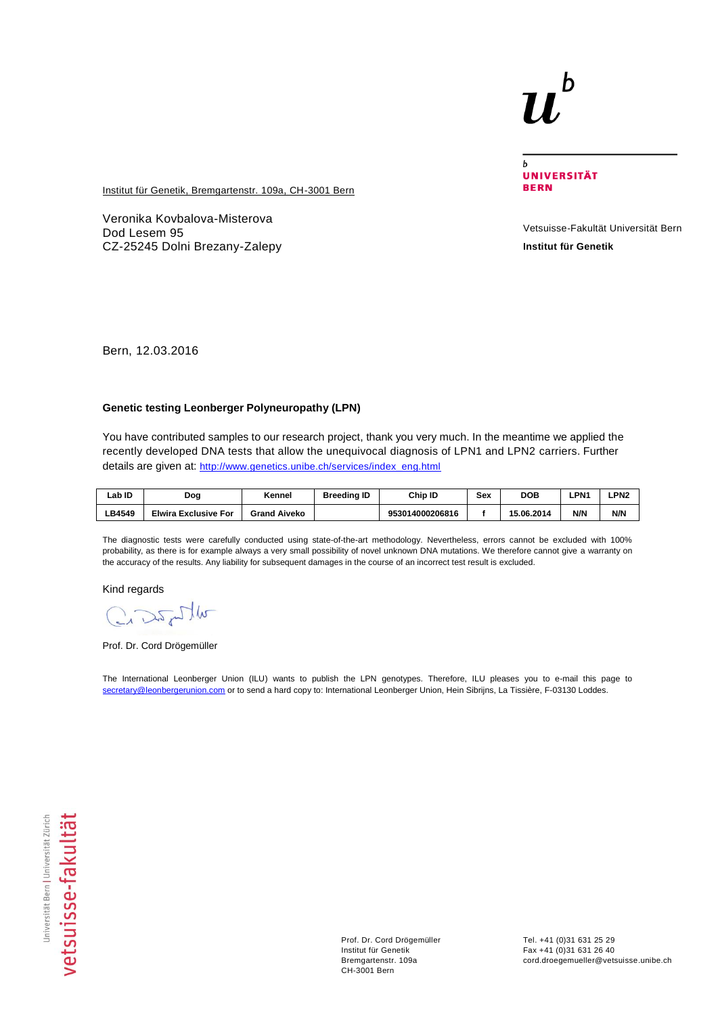## b

 $\mathbf b$ **UNIVERSITÄT BERN** 

**Institut für Genetik, Bremgartenstr. 109a, CH-3001 Bern** 

Veronika Kovbalova-Misterova Dod Lesem 95 CZ-25245 Dolni Brezany-Zalepy

Vetsuisse-Fakultät Universität Bern **Institut für Genetik**

Bern, 12.03.2016

## **Genetic testing Leonberger Polyneuropathy (LPN)**

You have contributed samples to our research project, thank you very much. In the meantime we applied the recently developed DNA tests that allow the unequivocal diagnosis of LPN1 and LPN2 carriers. Further details are given at: [http://www.genetics.unibe.ch/services/index\\_eng.html](http://www.genetics.unibe.ch/services/index_eng.html)

| ∟ab ID | Dog                         | Kennel              | <b>Breeding ID</b> | Chip ID         | Sex | <b>DOB</b> | ∟PN^ | PN2- |
|--------|-----------------------------|---------------------|--------------------|-----------------|-----|------------|------|------|
| ∟B4549 | <b>Elwira Exclusive For</b> | <b>Grand Aiveko</b> |                    | 953014000206816 |     | 15.06.2014 | N/N  | N/N  |

The diagnostic tests were carefully conducted using state-of-the-art methodology. Nevertheless, errors cannot be excluded with 100% probability, as there is for example always a very small possibility of novel unknown DNA mutations. We therefore cannot give a warranty on the accuracy of the results. Any liability for subsequent damages in the course of an incorrect test result is excluded.

Kind regards

Crashim

Prof. Dr. Cord Drögemüller

The International Leonberger Union (ILU) wants to publish the LPN genotypes. Therefore, ILU pleases you to e-mail this page to [secretary@leonbergerunion.com](mailto:secretary@leonbergerunion.com) or to send a hard copy to: International Leonberger Union, Hein Sibrijns, La Tissière, F-03130 Loddes.

Prof. Dr. Cord Drögemüller Institut für Genetik Bremgartenstr. 109a CH-3001 Bern